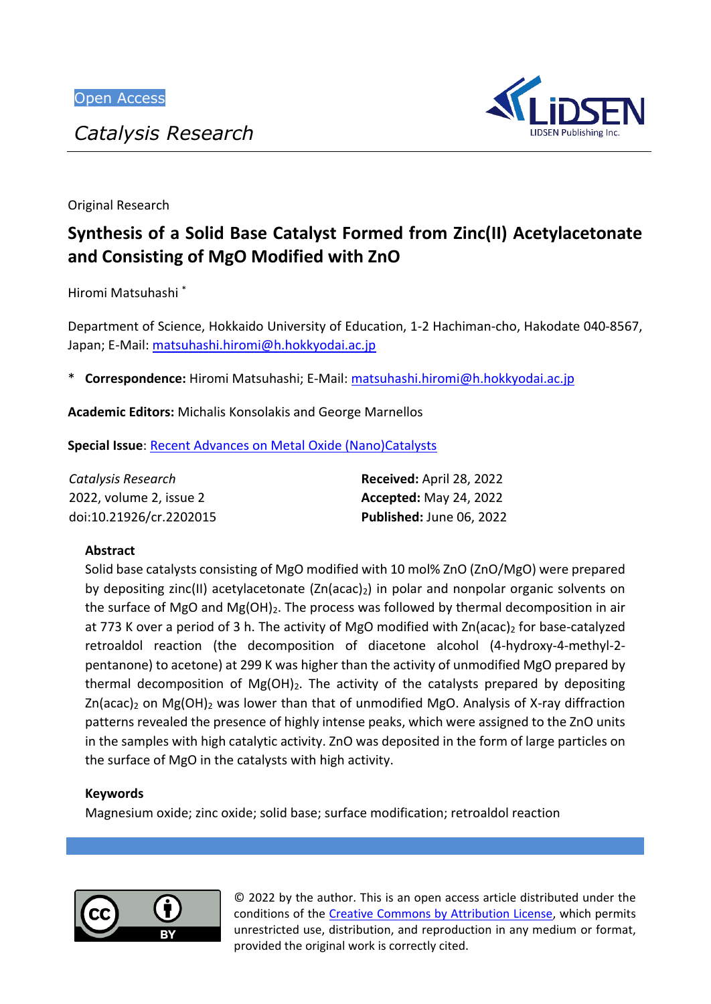*Catalysis Research*



Original Research

# **Synthesis of a Solid Base Catalyst Formed from Zinc(II) Acetylacetonate and Consisting of MgO Modified with ZnO**

Hiromi Matsuhashi \*

Department of Science, Hokkaido University of Education, 1-2 Hachiman-cho, Hakodate 040-8567, Japan; E-Mail[: matsuhashi.hiromi@h.hokkyodai.ac.jp](mailto:matsuhashi.hiromi@h.hokkyodai.ac.jp)

\* **Correspondence:** Hiromi Matsuhashi; E-Mail: [matsuhashi.hiromi@h.hokkyodai.ac.jp](mailto:matsuhashi.hiromi@h.hokkyodai.ac.jp)

**Academic Editors:** Michalis Konsolakis and George Marnellos

**Special Issue**: [Recent Advances on Metal Oxide \(Nano\)Catalysts](https://www.lidsen.com/journals/cr/cr-special-issues/recent-adv-metal-oxide-(nano)cataly)

| Catalysis Research      | Received: April 28, 2022      |
|-------------------------|-------------------------------|
| 2022, volume 2, issue 2 | <b>Accepted: May 24, 2022</b> |
| doi:10.21926/cr.2202015 | Published: June 06, 2022      |

# **Abstract**

Solid base catalysts consisting of MgO modified with 10 mol% ZnO (ZnO/MgO) were prepared by depositing zinc(II) acetylacetonate  $(Zn(acac)<sub>2</sub>)$  in polar and nonpolar organic solvents on the surface of MgO and Mg $(OH)_2$ . The process was followed by thermal decomposition in air at 773 K over a period of 3 h. The activity of MgO modified with  $\text{Zn}(\text{acac})_2$  for base-catalyzed retroaldol reaction (the decomposition of diacetone alcohol (4-hydroxy-4-methyl-2 pentanone) to acetone) at 299 K was higher than the activity of unmodified MgO prepared by thermal decomposition of  $Mg(OH)_2$ . The activity of the catalysts prepared by depositing  $Zn(\text{acac})_2$  on Mg(OH)<sub>2</sub> was lower than that of unmodified MgO. Analysis of X-ray diffraction patterns revealed the presence of highly intense peaks, which were assigned to the ZnO units in the samples with high catalytic activity. ZnO was deposited in the form of large particles on the surface of MgO in the catalysts with high activity.

# **Keywords**

Magnesium oxide; zinc oxide; solid base; surface modification; retroaldol reaction



© 2022 by the author. This is an open access article distributed under the conditions of the [Creative Commons by Attribution License,](http://creativecommons.org/licenses/by/4.0/) which permits unrestricted use, distribution, and reproduction in any medium or format, provided the original work is correctly cited.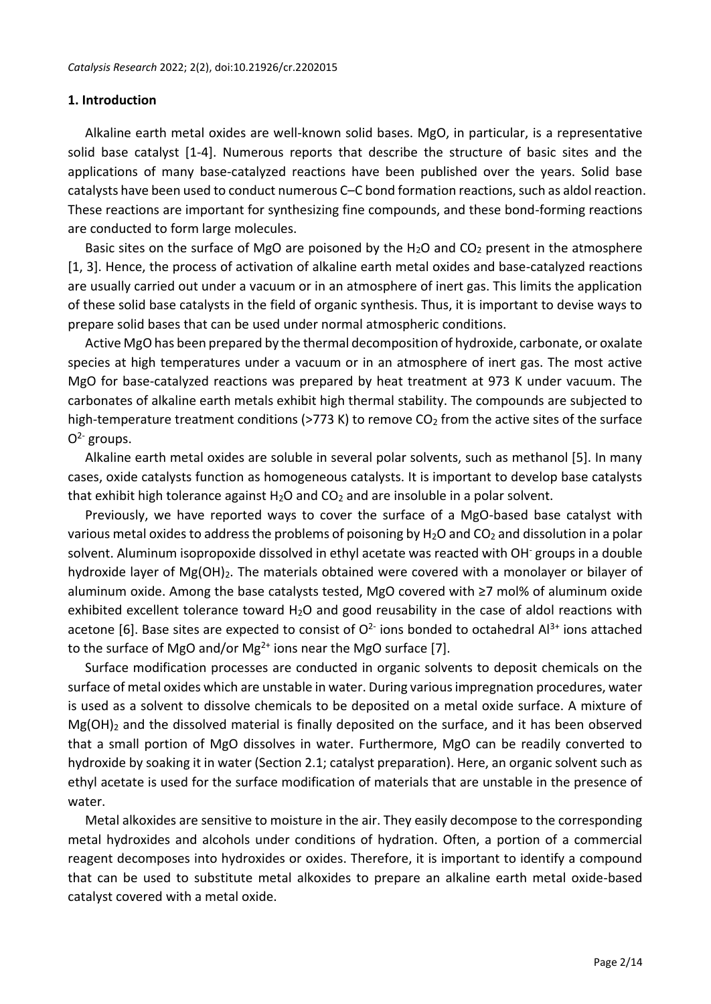### **1. Introduction**

Alkaline earth metal oxides are well-known solid bases. MgO, in particular, is a representative solid base catalyst [1-4]. Numerous reports that describe the structure of basic sites and the applications of many base-catalyzed reactions have been published over the years. Solid base catalysts have been used to conduct numerous C–C bond formation reactions, such as aldol reaction. These reactions are important for synthesizing fine compounds, and these bond-forming reactions are conducted to form large molecules.

Basic sites on the surface of MgO are poisoned by the  $H_2O$  and  $CO_2$  present in the atmosphere [1, 3]. Hence, the process of activation of alkaline earth metal oxides and base-catalyzed reactions are usually carried out under a vacuum or in an atmosphere of inert gas. This limits the application of these solid base catalysts in the field of organic synthesis. Thus, it is important to devise ways to prepare solid bases that can be used under normal atmospheric conditions.

Active MgO has been prepared by the thermal decomposition of hydroxide, carbonate, or oxalate species at high temperatures under a vacuum or in an atmosphere of inert gas. The most active MgO for base-catalyzed reactions was prepared by heat treatment at 973 K under vacuum. The carbonates of alkaline earth metals exhibit high thermal stability. The compounds are subjected to high-temperature treatment conditions (>773 K) to remove  $CO<sub>2</sub>$  from the active sites of the surface  $O<sup>2</sup>$  groups.

Alkaline earth metal oxides are soluble in several polar solvents, such as methanol [5]. In many cases, oxide catalysts function as homogeneous catalysts. It is important to develop base catalysts that exhibit high tolerance against  $H_2O$  and  $CO_2$  and are insoluble in a polar solvent.

Previously, we have reported ways to cover the surface of a MgO-based base catalyst with various metal oxides to address the problems of poisoning by  $H_2O$  and  $CO_2$  and dissolution in a polar solvent. Aluminum isopropoxide dissolved in ethyl acetate was reacted with OH<sup>-</sup> groups in a double hydroxide layer of Mg(OH)<sub>2</sub>. The materials obtained were covered with a monolayer or bilayer of aluminum oxide. Among the base catalysts tested, MgO covered with ≥7 mol% of aluminum oxide exhibited excellent tolerance toward  $H_2O$  and good reusability in the case of aldol reactions with acetone [6]. Base sites are expected to consist of  $O^{2}$  ions bonded to octahedral Al<sup>3+</sup> ions attached to the surface of MgO and/or Mg<sup>2+</sup> ions near the MgO surface [7].

Surface modification processes are conducted in organic solvents to deposit chemicals on the surface of metal oxides which are unstable in water. During various impregnation procedures, water is used as a solvent to dissolve chemicals to be deposited on a metal oxide surface. A mixture of  $Mg(OH)_2$  and the dissolved material is finally deposited on the surface, and it has been observed that a small portion of MgO dissolves in water. Furthermore, MgO can be readily converted to hydroxide by soaking it in water (Section 2.1; catalyst preparation). Here, an organic solvent such as ethyl acetate is used for the surface modification of materials that are unstable in the presence of water.

Metal alkoxides are sensitive to moisture in the air. They easily decompose to the corresponding metal hydroxides and alcohols under conditions of hydration. Often, a portion of a commercial reagent decomposes into hydroxides or oxides. Therefore, it is important to identify a compound that can be used to substitute metal alkoxides to prepare an alkaline earth metal oxide-based catalyst covered with a metal oxide.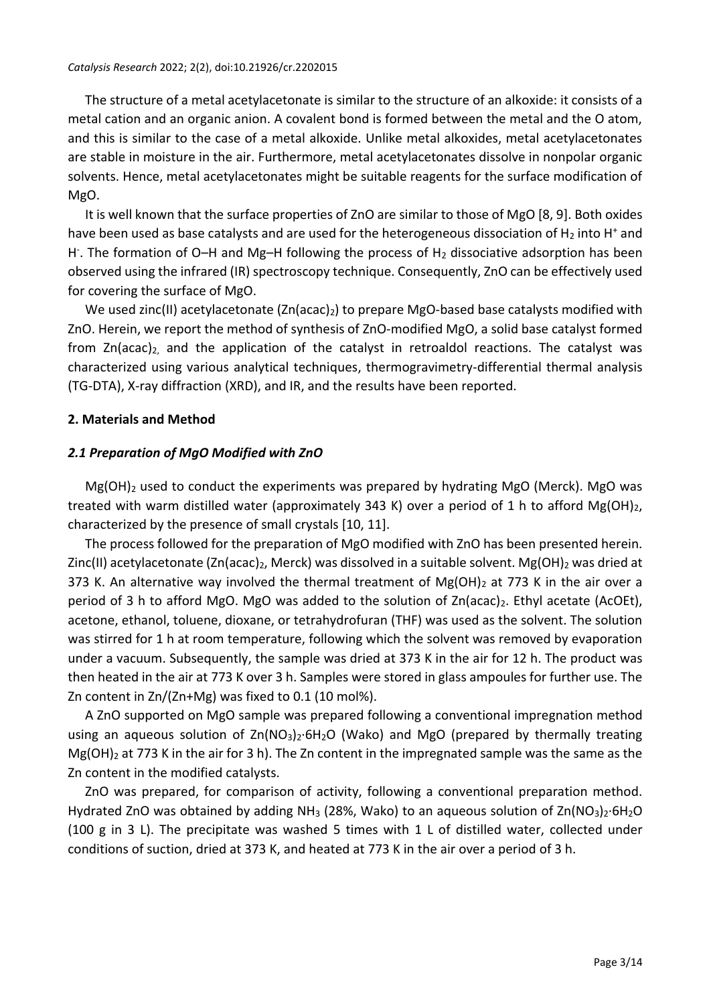The structure of a metal acetylacetonate is similar to the structure of an alkoxide: it consists of a metal cation and an organic anion. A covalent bond is formed between the metal and the O atom, and this is similar to the case of a metal alkoxide. Unlike metal alkoxides, metal acetylacetonates are stable in moisture in the air. Furthermore, metal acetylacetonates dissolve in nonpolar organic solvents. Hence, metal acetylacetonates might be suitable reagents for the surface modification of MgO.

It is well known that the surface properties of ZnO are similar to those of MgO [8, 9]. Both oxides have been used as base catalysts and are used for the heterogeneous dissociation of  $H_2$  into H<sup>+</sup> and H. The formation of O-H and Mg-H following the process of H<sub>2</sub> dissociative adsorption has been observed using the infrared (IR) spectroscopy technique. Consequently, ZnO can be effectively used for covering the surface of MgO.

We used zinc(II) acetylacetonate (Zn(acac)<sub>2</sub>) to prepare MgO-based base catalysts modified with ZnO. Herein, we report the method of synthesis of ZnO-modified MgO, a solid base catalyst formed from  $Zn(acac)<sub>2</sub>$  and the application of the catalyst in retroaldol reactions. The catalyst was characterized using various analytical techniques, thermogravimetry-differential thermal analysis (TG-DTA), X-ray diffraction (XRD), and IR, and the results have been reported.

### **2. Materials and Method**

### *2.1 Preparation of MgO Modified with ZnO*

 $Mg(OH)_2$  used to conduct the experiments was prepared by hydrating MgO (Merck). MgO was treated with warm distilled water (approximately 343 K) over a period of 1 h to afford Mg(OH)<sub>2</sub>, characterized by the presence of small crystals [10, 11].

The process followed for the preparation of MgO modified with ZnO has been presented herein. Zinc(II) acetylacetonate (Zn(acac)<sub>2</sub>, Merck) was dissolved in a suitable solvent. Mg(OH)<sub>2</sub> was dried at 373 K. An alternative way involved the thermal treatment of  $Mg(OH)_2$  at 773 K in the air over a period of 3 h to afford MgO. MgO was added to the solution of  $Zn(acac)<sub>2</sub>$ . Ethyl acetate (AcOEt), acetone, ethanol, toluene, dioxane, or tetrahydrofuran (THF) was used as the solvent. The solution was stirred for 1 h at room temperature, following which the solvent was removed by evaporation under a vacuum. Subsequently, the sample was dried at 373 K in the air for 12 h. The product was then heated in the air at 773 K over 3 h. Samples were stored in glass ampoules for further use. The Zn content in Zn/(Zn+Mg) was fixed to 0.1 (10 mol%).

A ZnO supported on MgO sample was prepared following a conventional impregnation method using an aqueous solution of  $Zn(NO_3)_2·6H_2O$  (Wako) and MgO (prepared by thermally treating Mg(OH)<sub>2</sub> at 773 K in the air for 3 h). The Zn content in the impregnated sample was the same as the Zn content in the modified catalysts.

ZnO was prepared, for comparison of activity, following a conventional preparation method. Hydrated ZnO was obtained by adding NH<sub>3</sub> (28%, Wako) to an aqueous solution of Zn(NO<sub>3</sub>)<sub>2</sub>·6H<sub>2</sub>O (100 g in 3 L). The precipitate was washed 5 times with 1 L of distilled water, collected under conditions of suction, dried at 373 K, and heated at 773 K in the air over a period of 3 h.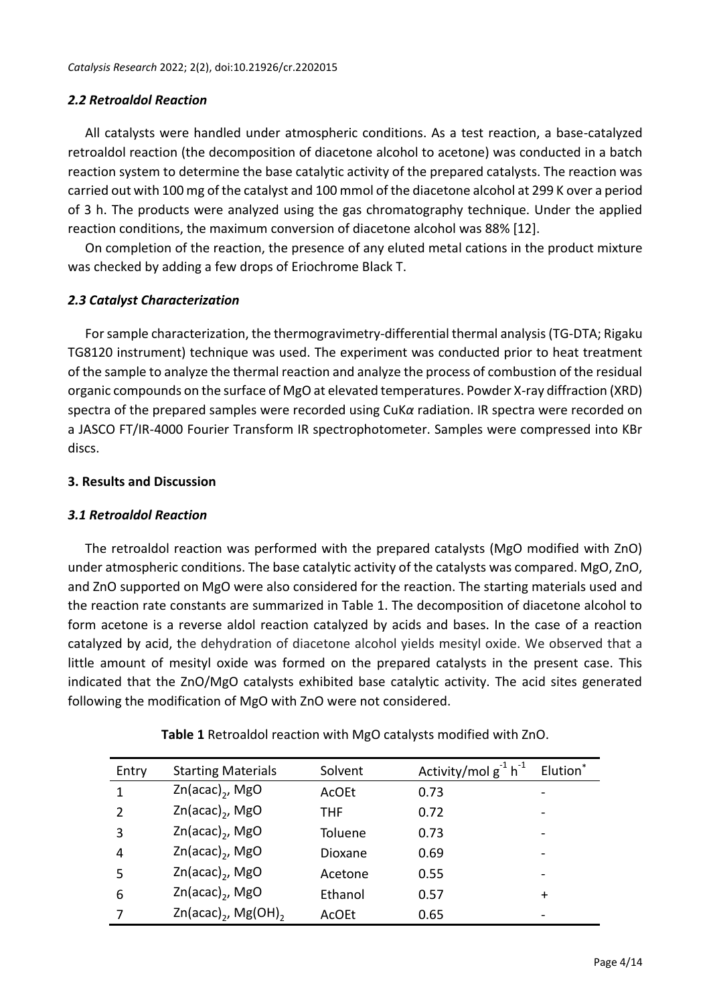# *2.2 Retroaldol Reaction*

All catalysts were handled under atmospheric conditions. As a test reaction, a base-catalyzed retroaldol reaction (the decomposition of diacetone alcohol to acetone) was conducted in a batch reaction system to determine the base catalytic activity of the prepared catalysts. The reaction was carried out with 100 mg of the catalyst and 100 mmol of the diacetone alcohol at 299 K over a period of 3 h. The products were analyzed using the gas chromatography technique. Under the applied reaction conditions, the maximum conversion of diacetone alcohol was 88% [12].

On completion of the reaction, the presence of any eluted metal cations in the product mixture was checked by adding a few drops of Eriochrome Black T.

# *2.3 Catalyst Characterization*

For sample characterization, the thermogravimetry-differential thermal analysis (TG-DTA; Rigaku TG8120 instrument) technique was used. The experiment was conducted prior to heat treatment of the sample to analyze the thermal reaction and analyze the process of combustion of the residual organic compounds on the surface of MgO at elevated temperatures. Powder X-ray diffraction (XRD) spectra of the prepared samples were recorded using CuK*α* radiation. IR spectra were recorded on a JASCO FT/IR-4000 Fourier Transform IR spectrophotometer. Samples were compressed into KBr discs.

# **3. Results and Discussion**

# *3.1 Retroaldol Reaction*

The retroaldol reaction was performed with the prepared catalysts (MgO modified with ZnO) under atmospheric conditions. The base catalytic activity of the catalysts was compared. MgO, ZnO, and ZnO supported on MgO were also considered for the reaction. The starting materials used and the reaction rate constants are summarized in Table 1. The decomposition of diacetone alcohol to form acetone is a reverse aldol reaction catalyzed by acids and bases. In the case of a reaction catalyzed by acid, the dehydration of diacetone alcohol yields mesityl oxide. We observed that a little amount of mesityl oxide was formed on the prepared catalysts in the present case. This indicated that the ZnO/MgO catalysts exhibited base catalytic activity. The acid sites generated following the modification of MgO with ZnO were not considered.

| Entry         | <b>Starting Materials</b>                 | Solvent    | Activity/mol $g^{-1} h^{-1}$ | Elution* |
|---------------|-------------------------------------------|------------|------------------------------|----------|
| 1             | $Zn(\text{acac})_2$ , MgO                 | AcOEt      | 0.73                         |          |
| $\mathcal{P}$ | $Zn(acac)_{2}$ , MgO                      | <b>THF</b> | 0.72                         |          |
| 3             | $Zn(acac)$ , MgO                          | Toluene    | 0.73                         |          |
| 4             | $Zn(acac)$ , MgO                          | Dioxane    | 0.69                         |          |
| 5             | $Zn(\text{acac})_2$ , MgO                 | Acetone    | 0.55                         |          |
| 6             | $Zn(acac)_{2}$ , MgO                      | Ethanol    | 0.57                         | $\pm$    |
|               | $Zn(\text{acac})_2$ , Mg(OH) <sub>2</sub> | AcOEt      | 0.65                         |          |

**Table 1** Retroaldol reaction with MgO catalysts modified with ZnO.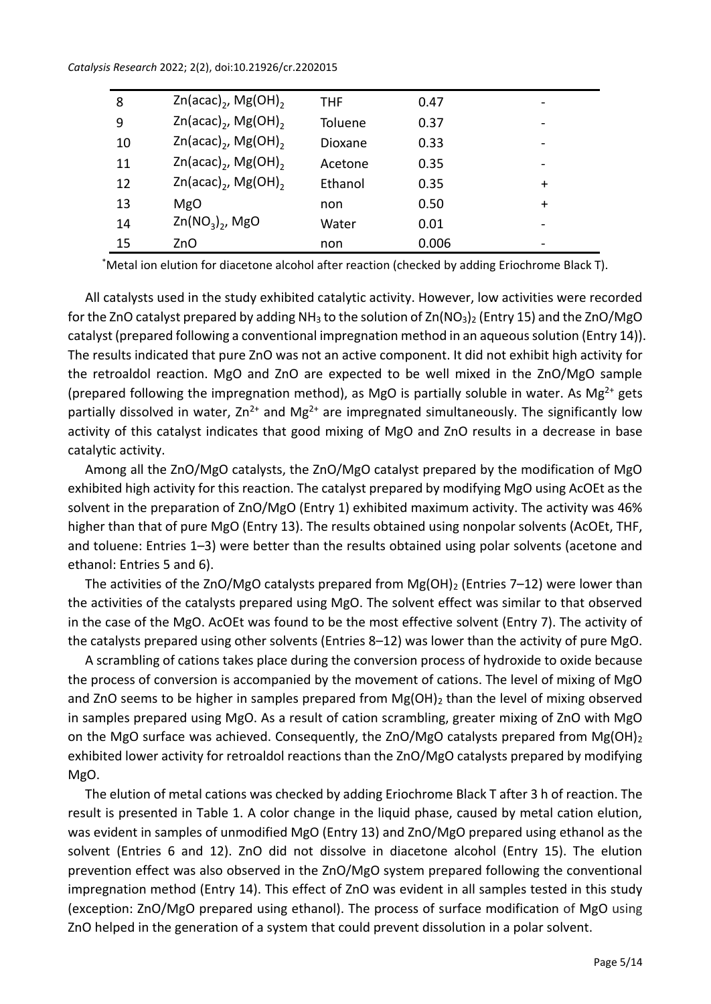#### *Catalysis Research* 2022; 2(2), doi:10.21926/cr.2202015

| 8  | $Zn(\text{acac})_2$ , Mg(OH) <sub>2</sub> | THF     | 0.47  |           |
|----|-------------------------------------------|---------|-------|-----------|
| 9  | $Zn(\text{acac})_2$ , Mg(OH) <sub>2</sub> | Toluene | 0.37  |           |
| 10 | $Zn(\text{acac})_2$ , Mg(OH) <sub>2</sub> | Dioxane | 0.33  |           |
| 11 | $Zn(\text{acac})_2$ , Mg(OH) <sub>2</sub> | Acetone | 0.35  |           |
| 12 | $Zn(\text{acac})_2$ , Mg(OH) <sub>2</sub> | Ethanol | 0.35  | $\ddot{}$ |
| 13 | <b>MgO</b>                                | non     | 0.50  | $\ddot{}$ |
| 14 | $Zn(NO_3)$ , MgO                          | Water   | 0.01  | -         |
| 15 | ZnO                                       | non     | 0.006 |           |

\*Metal ion elution for diacetone alcohol after reaction (checked by adding Eriochrome Black T).

All catalysts used in the study exhibited catalytic activity. However, low activities were recorded for the ZnO catalyst prepared by adding  $NH<sub>3</sub>$  to the solution of Zn(NO<sub>3</sub>)<sub>2</sub> (Entry 15) and the ZnO/MgO catalyst (prepared following a conventional impregnation method in an aqueous solution (Entry 14)). The results indicated that pure ZnO was not an active component. It did not exhibit high activity for the retroaldol reaction. MgO and ZnO are expected to be well mixed in the ZnO/MgO sample (prepared following the impregnation method), as MgO is partially soluble in water. As Mg<sup>2+</sup> gets partially dissolved in water,  $Zn^{2+}$  and Mg<sup>2+</sup> are impregnated simultaneously. The significantly low activity of this catalyst indicates that good mixing of MgO and ZnO results in a decrease in base catalytic activity.

Among all the ZnO/MgO catalysts, the ZnO/MgO catalyst prepared by the modification of MgO exhibited high activity for this reaction. The catalyst prepared by modifying MgO using AcOEt as the solvent in the preparation of ZnO/MgO (Entry 1) exhibited maximum activity. The activity was 46% higher than that of pure MgO (Entry 13). The results obtained using nonpolar solvents (AcOEt, THF, and toluene: Entries 1–3) were better than the results obtained using polar solvents (acetone and ethanol: Entries 5 and 6).

The activities of the ZnO/MgO catalysts prepared from  $Mg(OH)_2$  (Entries 7–12) were lower than the activities of the catalysts prepared using MgO. The solvent effect was similar to that observed in the case of the MgO. AcOEt was found to be the most effective solvent (Entry 7). The activity of the catalysts prepared using other solvents (Entries 8–12) was lower than the activity of pure MgO.

A scrambling of cations takes place during the conversion process of hydroxide to oxide because the process of conversion is accompanied by the movement of cations. The level of mixing of MgO and ZnO seems to be higher in samples prepared from  $Mg(OH)_2$  than the level of mixing observed in samples prepared using MgO. As a result of cation scrambling, greater mixing of ZnO with MgO on the MgO surface was achieved. Consequently, the ZnO/MgO catalysts prepared from Mg(OH)<sub>2</sub> exhibited lower activity for retroaldol reactions than the ZnO/MgO catalysts prepared by modifying MgO.

The elution of metal cations was checked by adding Eriochrome Black T after 3 h of reaction. The result is presented in Table 1. A color change in the liquid phase, caused by metal cation elution, was evident in samples of unmodified MgO (Entry 13) and ZnO/MgO prepared using ethanol as the solvent (Entries 6 and 12). ZnO did not dissolve in diacetone alcohol (Entry 15). The elution prevention effect was also observed in the ZnO/MgO system prepared following the conventional impregnation method (Entry 14). This effect of ZnO was evident in all samples tested in this study (exception: ZnO/MgO prepared using ethanol). The process of surface modification of MgO using ZnO helped in the generation of a system that could prevent dissolution in a polar solvent.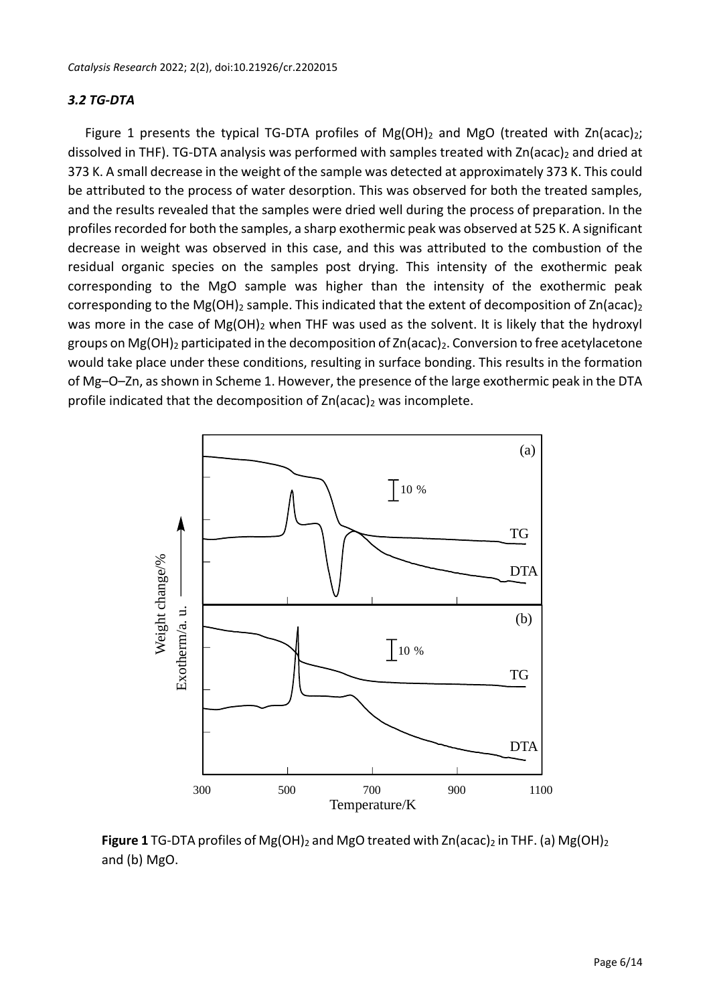#### *3.2 TG-DTA*

Figure 1 presents the typical TG-DTA profiles of  $Mg(OH)_2$  and MgO (treated with Zn(acac)<sub>2</sub>; dissolved in THF). TG-DTA analysis was performed with samples treated with Zn(acac)<sub>2</sub> and dried at 373 K. A small decrease in the weight of the sample was detected at approximately 373 K. This could be attributed to the process of water desorption. This was observed for both the treated samples, and the results revealed that the samples were dried well during the process of preparation. In the profiles recorded for both the samples, a sharp exothermic peak was observed at 525 K. A significant decrease in weight was observed in this case, and this was attributed to the combustion of the residual organic species on the samples post drying. This intensity of the exothermic peak corresponding to the MgO sample was higher than the intensity of the exothermic peak corresponding to the Mg(OH)<sub>2</sub> sample. This indicated that the extent of decomposition of Zn(acac)<sub>2</sub> was more in the case of Mg(OH)<sub>2</sub> when THF was used as the solvent. It is likely that the hydroxyl groups on Mg(OH)<sub>2</sub> participated in the decomposition of Zn(acac)<sub>2</sub>. Conversion to free acetylacetone would take place under these conditions, resulting in surface bonding. This results in the formation of Mg–O–Zn, as shown in Scheme 1. However, the presence of the large exothermic peak in the DTA profile indicated that the decomposition of  $Zn(\text{acac})_2$  was incomplete.



**Figure 1** TG-DTA profiles of Mg(OH)<sub>2</sub> and MgO treated with Zn(acac)<sub>2</sub> in THF. (a) Mg(OH)<sub>2</sub> and (b) MgO.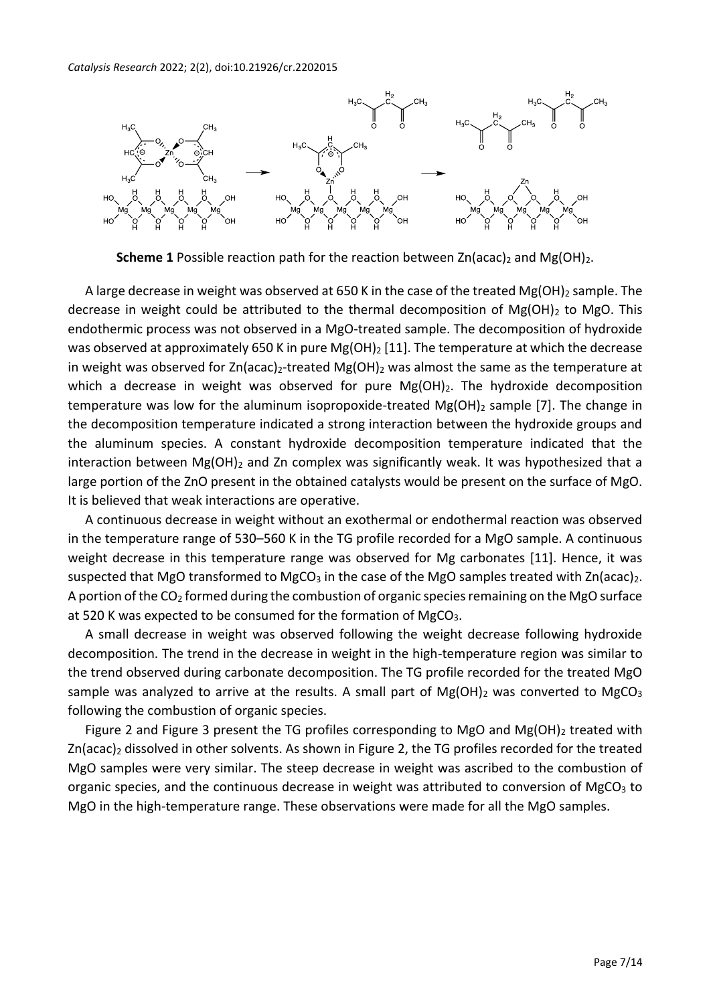

**Scheme 1** Possible reaction path for the reaction between Zn(acac)<sub>2</sub> and Mg(OH)<sub>2</sub>.

A large decrease in weight was observed at 650 K in the case of the treated  $Mg(OH)_2$  sample. The decrease in weight could be attributed to the thermal decomposition of  $Mg(OH)_2$  to MgO. This endothermic process was not observed in a MgO-treated sample. The decomposition of hydroxide was observed at approximately 650 K in pure Mg(OH)<sub>2</sub> [11]. The temperature at which the decrease in weight was observed for Zn(acac)<sub>2</sub>-treated Mg(OH)<sub>2</sub> was almost the same as the temperature at which a decrease in weight was observed for pure  $Mg(OH)_2$ . The hydroxide decomposition temperature was low for the aluminum isopropoxide-treated  $Mg(OH)_2$  sample [7]. The change in the decomposition temperature indicated a strong interaction between the hydroxide groups and the aluminum species. A constant hydroxide decomposition temperature indicated that the interaction between  $Mg(OH)_2$  and Zn complex was significantly weak. It was hypothesized that a large portion of the ZnO present in the obtained catalysts would be present on the surface of MgO. It is believed that weak interactions are operative.

A continuous decrease in weight without an exothermal or endothermal reaction was observed in the temperature range of 530–560 K in the TG profile recorded for a MgO sample. A continuous weight decrease in this temperature range was observed for Mg carbonates [11]. Hence, it was suspected that MgO transformed to MgCO<sub>3</sub> in the case of the MgO samples treated with  $Zn(\text{acalc})_2$ . A portion of the  $CO<sub>2</sub>$  formed during the combustion of organic species remaining on the MgO surface at 520 K was expected to be consumed for the formation of  $MgCO<sub>3</sub>$ .

A small decrease in weight was observed following the weight decrease following hydroxide decomposition. The trend in the decrease in weight in the high-temperature region was similar to the trend observed during carbonate decomposition. The TG profile recorded for the treated MgO sample was analyzed to arrive at the results. A small part of  $Mg(OH)_2$  was converted to  $MgCO_3$ following the combustion of organic species.

Figure 2 and Figure 3 present the TG profiles corresponding to MgO and Mg(OH)<sub>2</sub> treated with Zn(acac)<sub>2</sub> dissolved in other solvents. As shown in Figure 2, the TG profiles recorded for the treated MgO samples were very similar. The steep decrease in weight was ascribed to the combustion of organic species, and the continuous decrease in weight was attributed to conversion of MgCO<sub>3</sub> to MgO in the high-temperature range. These observations were made for all the MgO samples.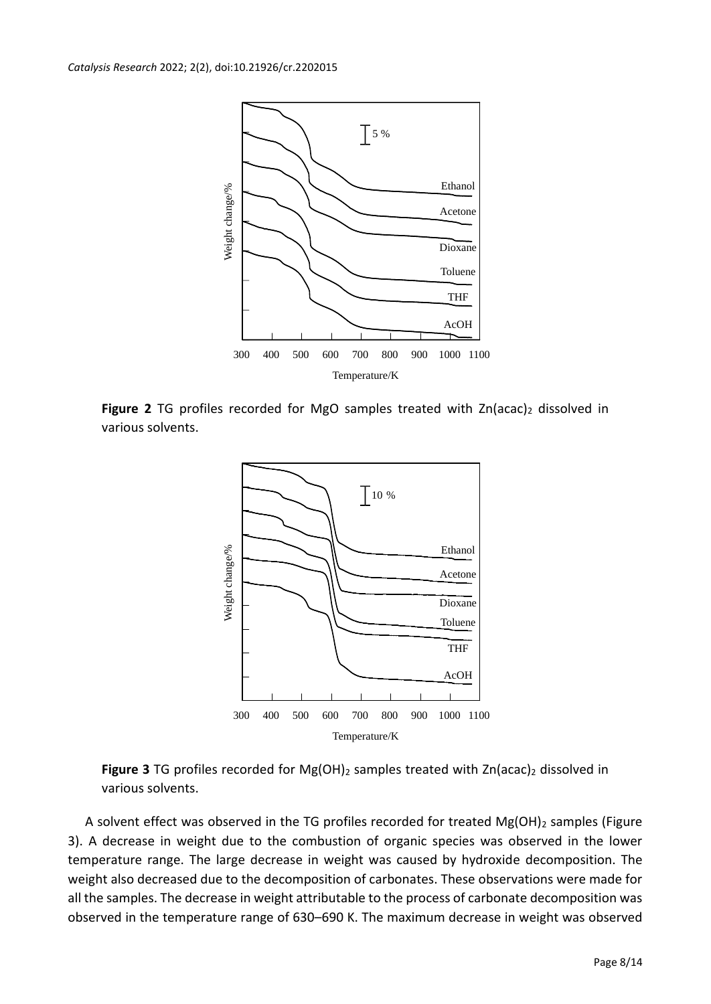

Figure 2 TG profiles recorded for MgO samples treated with Zn(acac)<sub>2</sub> dissolved in various solvents.



Figure 3 TG profiles recorded for Mg(OH)<sub>2</sub> samples treated with Zn(acac)<sub>2</sub> dissolved in various solvents.

A solvent effect was observed in the TG profiles recorded for treated  $Mg(OH)_2$  samples (Figure 3). A decrease in weight due to the combustion of organic species was observed in the lower temperature range. The large decrease in weight was caused by hydroxide decomposition. The weight also decreased due to the decomposition of carbonates. These observations were made for all the samples. The decrease in weight attributable to the process of carbonate decomposition was observed in the temperature range of 630–690 K. The maximum decrease in weight was observed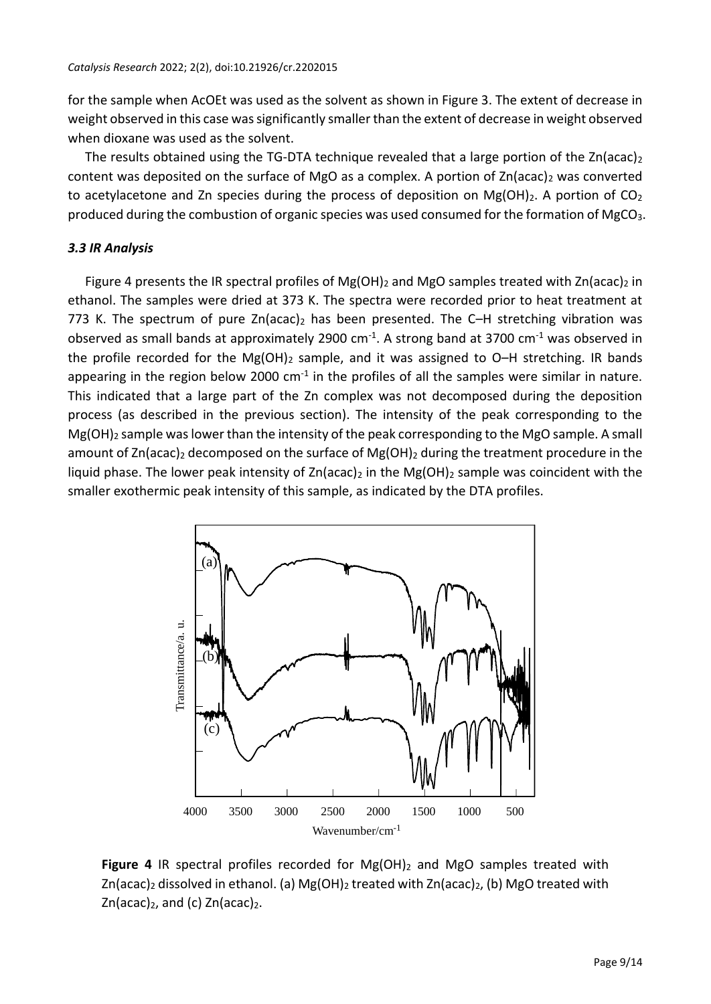for the sample when AcOEt was used as the solvent as shown in Figure 3. The extent of decrease in weight observed in this case was significantly smaller than the extent of decrease in weight observed when dioxane was used as the solvent.

The results obtained using the TG-DTA technique revealed that a large portion of the  $Zn(acac)<sub>2</sub>$ content was deposited on the surface of MgO as a complex. A portion of  $Zn(acac)_2$  was converted to acetylacetone and Zn species during the process of deposition on Mg(OH)<sub>2</sub>. A portion of CO<sub>2</sub> produced during the combustion of organic species was used consumed for the formation of MgCO<sub>3</sub>.

# *3.3 IR Analysis*

Figure 4 presents the IR spectral profiles of Mg(OH)<sub>2</sub> and MgO samples treated with  $Zn(acac)$ <sub>2</sub> in ethanol. The samples were dried at 373 K. The spectra were recorded prior to heat treatment at 773 K. The spectrum of pure  $Zn(acac)_2$  has been presented. The C-H stretching vibration was observed as small bands at approximately 2900  $cm^{-1}$ . A strong band at 3700  $cm^{-1}$  was observed in the profile recorded for the Mg(OH)<sub>2</sub> sample, and it was assigned to O–H stretching. IR bands appearing in the region below 2000  $cm<sup>-1</sup>$  in the profiles of all the samples were similar in nature. This indicated that a large part of the Zn complex was not decomposed during the deposition process (as described in the previous section). The intensity of the peak corresponding to the Mg(OH)<sub>2</sub> sample was lower than the intensity of the peak corresponding to the MgO sample. A small amount of Zn(acac)<sub>2</sub> decomposed on the surface of Mg(OH)<sub>2</sub> during the treatment procedure in the liquid phase. The lower peak intensity of  $Zn(\text{acc})_2$  in the Mg(OH)<sub>2</sub> sample was coincident with the smaller exothermic peak intensity of this sample, as indicated by the DTA profiles.



**Figure 4** IR spectral profiles recorded for Mg(OH)<sub>2</sub> and MgO samples treated with  $Zn(acac)<sub>2</sub>$  dissolved in ethanol. (a) Mg(OH)<sub>2</sub> treated with Zn(acac)<sub>2</sub>, (b) MgO treated with  $Zn(\text{acac})_2$ , and (c)  $Zn(\text{acac})_2$ .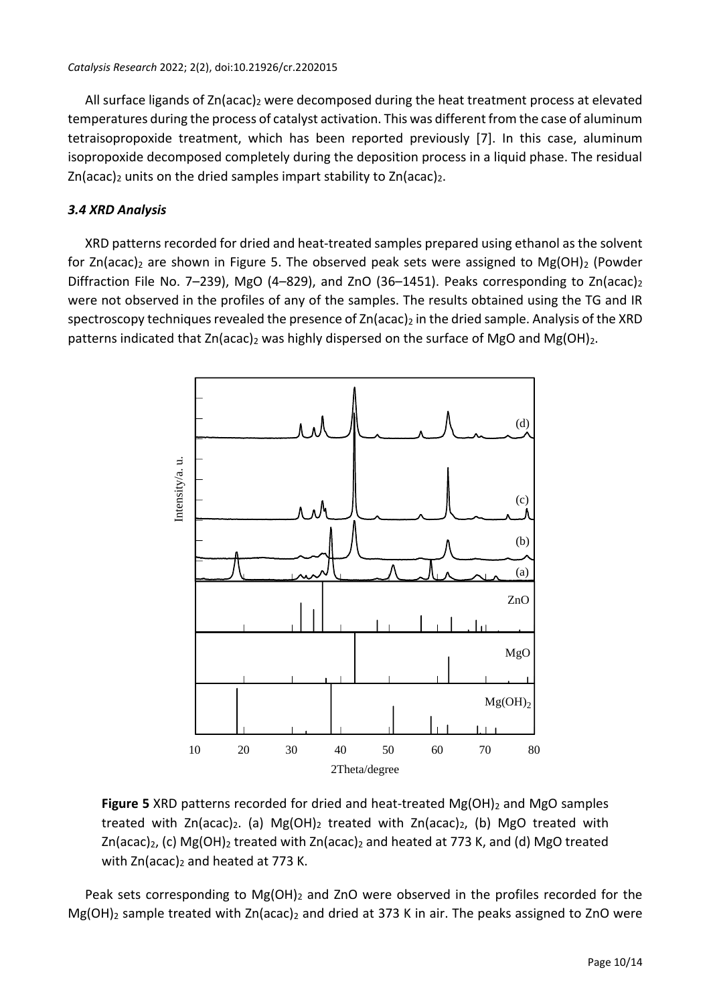All surface ligands of Zn(acac)<sub>2</sub> were decomposed during the heat treatment process at elevated temperatures during the process of catalyst activation. This was different from the case of aluminum tetraisopropoxide treatment, which has been reported previously [7]. In this case, aluminum isopropoxide decomposed completely during the deposition process in a liquid phase. The residual  $Zn(acac)_2$  units on the dried samples impart stability to  $Zn(acac)_2$ .

# *3.4 XRD Analysis*

XRD patterns recorded for dried and heat-treated samples prepared using ethanol as the solvent for Zn(acac)<sub>2</sub> are shown in Figure 5. The observed peak sets were assigned to Mg(OH)<sub>2</sub> (Powder Diffraction File No. 7-239), MgO (4-829), and ZnO (36-1451). Peaks corresponding to Zn(acac)<sub>2</sub> were not observed in the profiles of any of the samples. The results obtained using the TG and IR spectroscopy techniques revealed the presence of  $Zn(acac)_2$  in the dried sample. Analysis of the XRD patterns indicated that  $Zn(\text{acc})_2$  was highly dispersed on the surface of MgO and Mg(OH)<sub>2</sub>.



**Figure 5** XRD patterns recorded for dried and heat-treated Mg(OH)<sub>2</sub> and MgO samples treated with Zn(acac)<sub>2</sub>. (a) Mg(OH)<sub>2</sub> treated with Zn(acac)<sub>2</sub>, (b) MgO treated with  $Zn(acac)_2$ , (c) Mg(OH)<sub>2</sub> treated with  $Zn(acac)_2$  and heated at 773 K, and (d) MgO treated with  $Zn(\text{acc})_2$  and heated at 773 K.

Peak sets corresponding to  $Mg(OH)_2$  and ZnO were observed in the profiles recorded for the  $Mg(OH)_2$  sample treated with  $Zn(acac)_2$  and dried at 373 K in air. The peaks assigned to ZnO were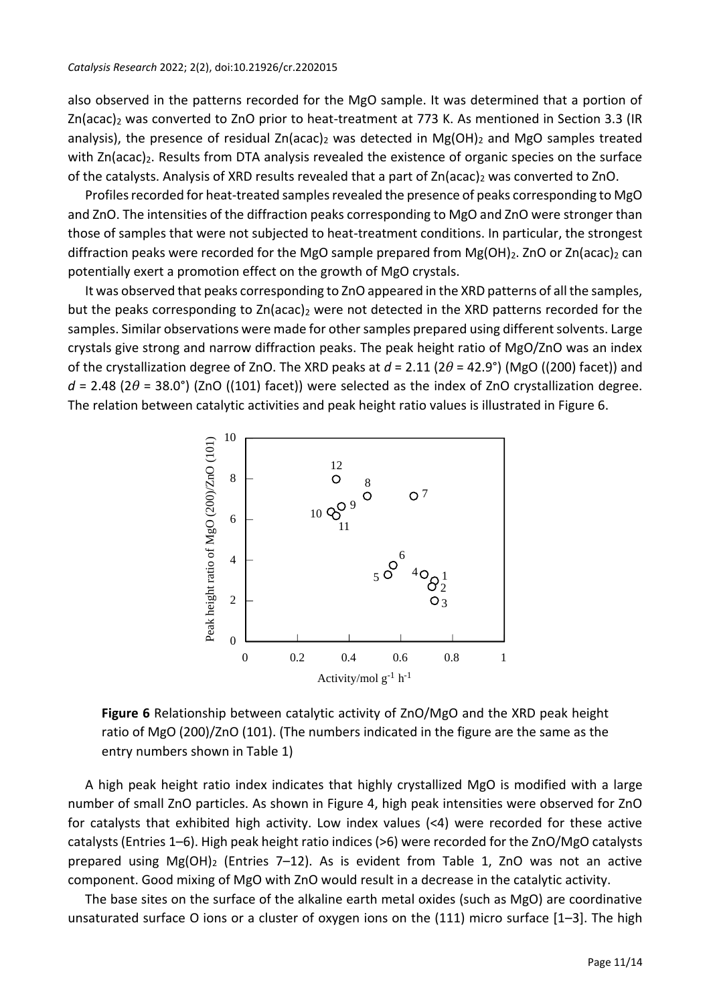also observed in the patterns recorded for the MgO sample. It was determined that a portion of Zn(acac)<sup>2</sup> was converted to ZnO prior to heat-treatment at 773 K. As mentioned in Section 3.3 (IR analysis), the presence of residual Zn(acac)<sub>2</sub> was detected in Mg(OH)<sub>2</sub> and MgO samples treated with Zn(acac)<sub>2</sub>. Results from DTA analysis revealed the existence of organic species on the surface of the catalysts. Analysis of XRD results revealed that a part of Zn(acac)<sub>2</sub> was converted to ZnO.

Profiles recorded for heat-treated samples revealed the presence of peaks corresponding to MgO and ZnO. The intensities of the diffraction peaks corresponding to MgO and ZnO were stronger than those of samples that were not subjected to heat-treatment conditions. In particular, the strongest diffraction peaks were recorded for the MgO sample prepared from Mg(OH)<sub>2</sub>. ZnO or Zn(acac)<sub>2</sub> can potentially exert a promotion effect on the growth of MgO crystals.

It was observed that peaks corresponding to ZnO appeared in the XRD patterns of all the samples, but the peaks corresponding to  $Zn(\text{acac})_2$  were not detected in the XRD patterns recorded for the samples. Similar observations were made for other samples prepared using different solvents. Large crystals give strong and narrow diffraction peaks. The peak height ratio of MgO/ZnO was an index of the crystallization degree of ZnO. The XRD peaks at *d* = 2.11 (2*θ* = 42.9°) (MgO ((200) facet)) and  $d = 2.48$  (2 $\theta = 38.0^{\circ}$ ) (ZnO ((101) facet)) were selected as the index of ZnO crystallization degree. The relation between catalytic activities and peak height ratio values is illustrated in Figure 6.



**Figure 6** Relationship between catalytic activity of ZnO/MgO and the XRD peak height ratio of MgO (200)/ZnO (101). (The numbers indicated in the figure are the same as the entry numbers shown in Table 1)

A high peak height ratio index indicates that highly crystallized MgO is modified with a large number of small ZnO particles. As shown in Figure 4, high peak intensities were observed for ZnO for catalysts that exhibited high activity. Low index values (<4) were recorded for these active catalysts (Entries 1–6). High peak height ratio indices (>6) were recorded for the ZnO/MgO catalysts prepared using  $Mg(OH)$ <sub>2</sub> (Entries 7–12). As is evident from Table 1, ZnO was not an active component. Good mixing of MgO with ZnO would result in a decrease in the catalytic activity.

The base sites on the surface of the alkaline earth metal oxides (such as MgO) are coordinative unsaturated surface O ions or a cluster of oxygen ions on the (111) micro surface [1–3]. The high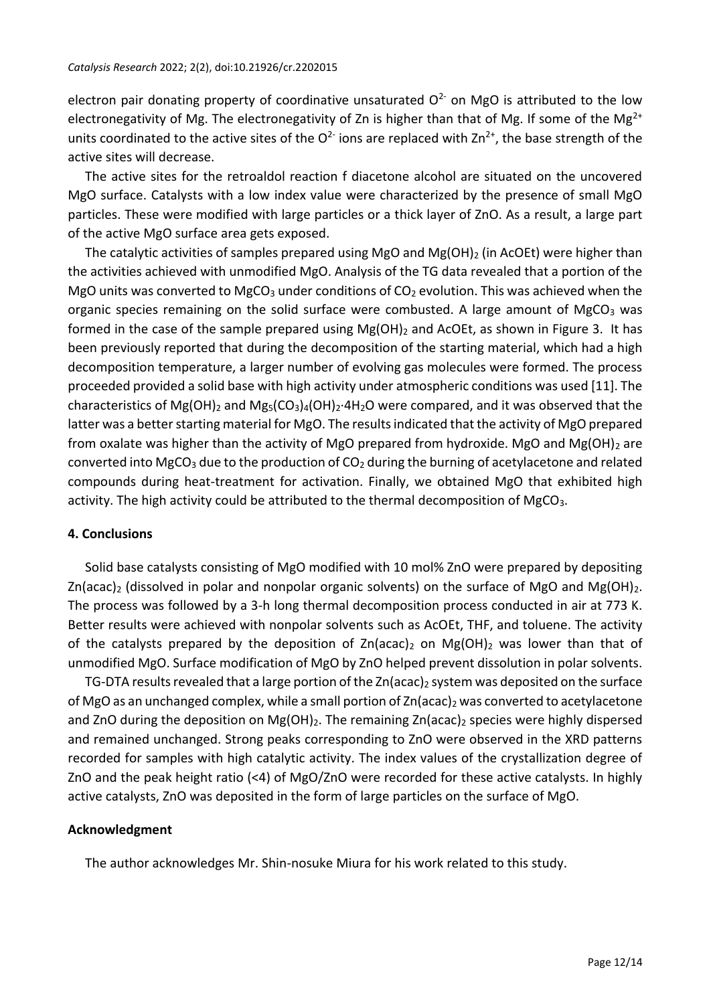electron pair donating property of coordinative unsaturated  $O<sup>2</sup>$  on MgO is attributed to the low electronegativity of Mg. The electronegativity of Zn is higher than that of Mg. If some of the Mg<sup>2+</sup> units coordinated to the active sites of the  $O^{2}$  ions are replaced with  $Zn^{2+}$ , the base strength of the active sites will decrease.

The active sites for the retroaldol reaction f diacetone alcohol are situated on the uncovered MgO surface. Catalysts with a low index value were characterized by the presence of small MgO particles. These were modified with large particles or a thick layer of ZnO. As a result, a large part of the active MgO surface area gets exposed.

The catalytic activities of samples prepared using MgO and Mg(OH) $_2$  (in AcOEt) were higher than the activities achieved with unmodified MgO. Analysis of the TG data revealed that a portion of the MgO units was converted to MgCO<sub>3</sub> under conditions of CO<sub>2</sub> evolution. This was achieved when the organic species remaining on the solid surface were combusted. A large amount of  $MgCO<sub>3</sub>$  was formed in the case of the sample prepared using  $Mg(OH)_2$  and AcOEt, as shown in Figure 3. It has been previously reported that during the decomposition of the starting material, which had a high decomposition temperature, a larger number of evolving gas molecules were formed. The process proceeded provided a solid base with high activity under atmospheric conditions was used [11]. The characteristics of Mg(OH)<sub>2</sub> and Mg<sub>5</sub>(CO<sub>3</sub>)<sub>4</sub>(OH)<sub>2</sub>·4H<sub>2</sub>O were compared, and it was observed that the latter was a better starting material for MgO. The results indicated that the activity of MgO prepared from oxalate was higher than the activity of MgO prepared from hydroxide. MgO and Mg(OH)<sub>2</sub> are converted into MgCO<sub>3</sub> due to the production of  $CO<sub>2</sub>$  during the burning of acetylacetone and related compounds during heat-treatment for activation. Finally, we obtained MgO that exhibited high activity. The high activity could be attributed to the thermal decomposition of  $MgCO<sub>3</sub>$ .

#### **4. Conclusions**

Solid base catalysts consisting of MgO modified with 10 mol% ZnO were prepared by depositing  $Zn(\text{acac})_2$  (dissolved in polar and nonpolar organic solvents) on the surface of MgO and Mg(OH)<sub>2</sub>. The process was followed by a 3-h long thermal decomposition process conducted in air at 773 K. Better results were achieved with nonpolar solvents such as AcOEt, THF, and toluene. The activity of the catalysts prepared by the deposition of  $Zn(\text{acal}_2)$  on Mg(OH)<sub>2</sub> was lower than that of unmodified MgO. Surface modification of MgO by ZnO helped prevent dissolution in polar solvents.

TG-DTA results revealed that a large portion of the  $Zn$  (acac)<sub>2</sub> system was deposited on the surface of MgO as an unchanged complex, while a small portion of  $\text{Zn}$ (acac)<sub>2</sub> was converted to acetylacetone and ZnO during the deposition on  $Mg(OH)_2$ . The remaining Zn(acac)<sub>2</sub> species were highly dispersed and remained unchanged. Strong peaks corresponding to ZnO were observed in the XRD patterns recorded for samples with high catalytic activity. The index values of the crystallization degree of ZnO and the peak height ratio (<4) of MgO/ZnO were recorded for these active catalysts. In highly active catalysts, ZnO was deposited in the form of large particles on the surface of MgO.

#### **Acknowledgment**

The author acknowledges Mr. Shin-nosuke Miura for his work related to this study.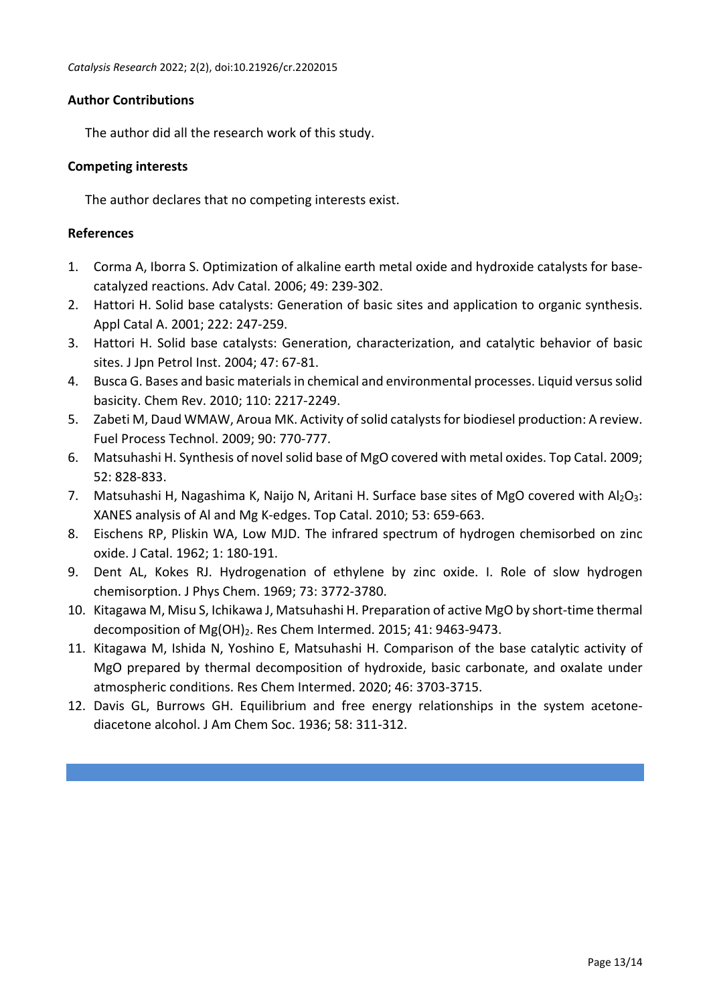# **Author Contributions**

The author did all the research work of this study.

# **Competing interests**

The author declares that no competing interests exist.

# **References**

- 1. Corma A, Iborra S. Optimization of alkaline earth metal oxide and hydroxide catalysts for basecatalyzed reactions. Adv Catal. 2006; 49: 239-302.
- 2. Hattori H. Solid base catalysts: Generation of basic sites and application to organic synthesis. Appl Catal A. 2001; 222: 247-259.
- 3. Hattori H. Solid base catalysts: Generation, characterization, and catalytic behavior of basic sites. J Jpn Petrol Inst. 2004; 47: 67-81.
- 4. Busca G. Bases and basic materialsin chemical and environmental processes. Liquid versussolid basicity. Chem Rev. 2010; 110: 2217-2249.
- 5. Zabeti M, Daud WMAW, Aroua MK. Activity of solid catalysts for biodiesel production: A review. Fuel Process Technol. 2009; 90: 770-777.
- 6. Matsuhashi H. Synthesis of novel solid base of MgO covered with metal oxides. Top Catal. 2009; 52: 828-833.
- 7. Matsuhashi H, Nagashima K, Naijo N, Aritani H. Surface base sites of MgO covered with  $Al_2O_3$ : XANES analysis of Al and Mg K-edges. Top Catal. 2010; 53: 659-663.
- 8. Eischens RP, Pliskin WA, Low MJD. The infrared spectrum of hydrogen chemisorbed on zinc oxide. J Catal. 1962; 1: 180-191.
- 9. Dent AL, Kokes RJ. Hydrogenation of ethylene by zinc oxide. I. Role of slow hydrogen chemisorption. J Phys Chem. 1969; 73: 3772-3780.
- 10. Kitagawa M, Misu S, Ichikawa J, Matsuhashi H. Preparation of active MgO by short-time thermal decomposition of Mg(OH)<sub>2</sub>. Res Chem Intermed. 2015; 41: 9463-9473.
- 11. Kitagawa M, Ishida N, Yoshino E, Matsuhashi H. Comparison of the base catalytic activity of MgO prepared by thermal decomposition of hydroxide, basic carbonate, and oxalate under atmospheric conditions. Res Chem Intermed. 2020; 46: 3703-3715.
- 12. Davis GL, Burrows GH. Equilibrium and free energy relationships in the system acetonediacetone alcohol. J Am Chem Soc. 1936; 58: 311-312.